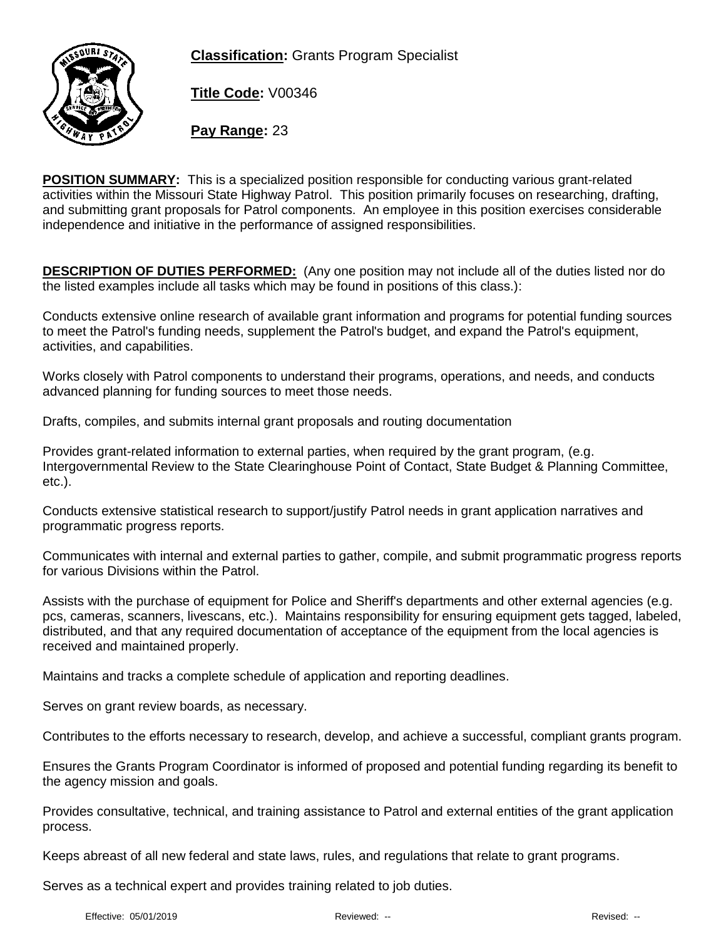**Classification:** Grants Program Specialist



**Title Code:** V00346

**Pay Range:** 23

**POSITION SUMMARY:** This is a specialized position responsible for conducting various grant-related activities within the Missouri State Highway Patrol. This position primarily focuses on researching, drafting, and submitting grant proposals for Patrol components. An employee in this position exercises considerable independence and initiative in the performance of assigned responsibilities.

**DESCRIPTION OF DUTIES PERFORMED:** (Any one position may not include all of the duties listed nor do the listed examples include all tasks which may be found in positions of this class.):

Conducts extensive online research of available grant information and programs for potential funding sources to meet the Patrol's funding needs, supplement the Patrol's budget, and expand the Patrol's equipment, activities, and capabilities.

Works closely with Patrol components to understand their programs, operations, and needs, and conducts advanced planning for funding sources to meet those needs.

Drafts, compiles, and submits internal grant proposals and routing documentation

Provides grant-related information to external parties, when required by the grant program, (e.g. Intergovernmental Review to the State Clearinghouse Point of Contact, State Budget & Planning Committee, etc.).

Conducts extensive statistical research to support/justify Patrol needs in grant application narratives and programmatic progress reports.

Communicates with internal and external parties to gather, compile, and submit programmatic progress reports for various Divisions within the Patrol.

Assists with the purchase of equipment for Police and Sheriff's departments and other external agencies (e.g. pcs, cameras, scanners, livescans, etc.). Maintains responsibility for ensuring equipment gets tagged, labeled, distributed, and that any required documentation of acceptance of the equipment from the local agencies is received and maintained properly.

Maintains and tracks a complete schedule of application and reporting deadlines.

Serves on grant review boards, as necessary.

Contributes to the efforts necessary to research, develop, and achieve a successful, compliant grants program.

Ensures the Grants Program Coordinator is informed of proposed and potential funding regarding its benefit to the agency mission and goals.

Provides consultative, technical, and training assistance to Patrol and external entities of the grant application process.

Keeps abreast of all new federal and state laws, rules, and regulations that relate to grant programs.

Serves as a technical expert and provides training related to job duties.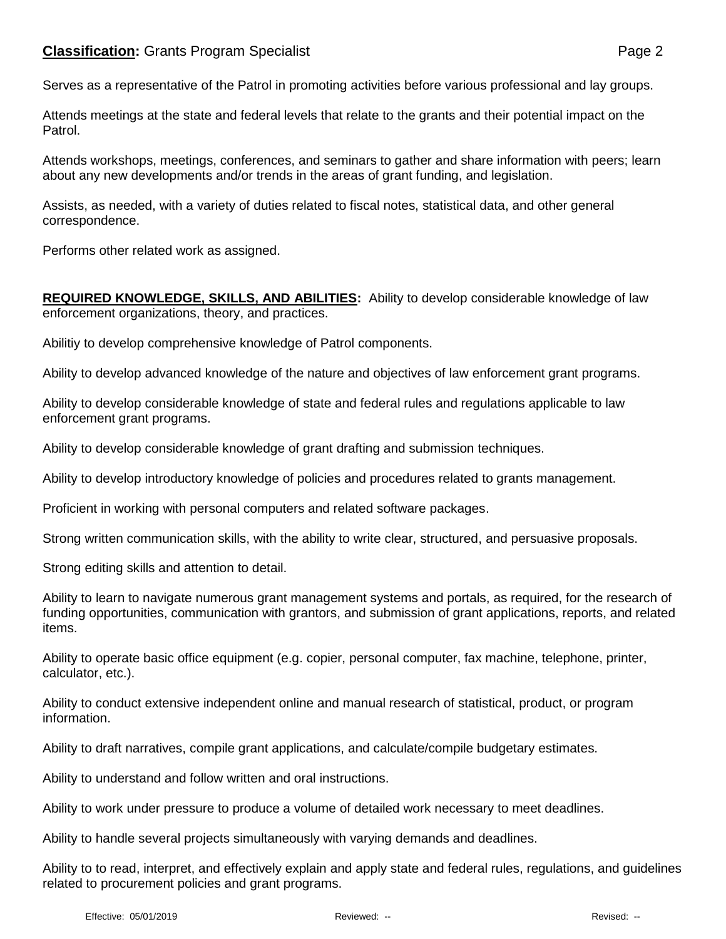Serves as a representative of the Patrol in promoting activities before various professional and lay groups.

Attends meetings at the state and federal levels that relate to the grants and their potential impact on the Patrol.

Attends workshops, meetings, conferences, and seminars to gather and share information with peers; learn about any new developments and/or trends in the areas of grant funding, and legislation.

Assists, as needed, with a variety of duties related to fiscal notes, statistical data, and other general correspondence.

Performs other related work as assigned.

**REQUIRED KNOWLEDGE, SKILLS, AND ABILITIES:** Ability to develop considerable knowledge of law enforcement organizations, theory, and practices.

Abilitiy to develop comprehensive knowledge of Patrol components.

Ability to develop advanced knowledge of the nature and objectives of law enforcement grant programs.

Ability to develop considerable knowledge of state and federal rules and regulations applicable to law enforcement grant programs.

Ability to develop considerable knowledge of grant drafting and submission techniques.

Ability to develop introductory knowledge of policies and procedures related to grants management.

Proficient in working with personal computers and related software packages.

Strong written communication skills, with the ability to write clear, structured, and persuasive proposals.

Strong editing skills and attention to detail.

Ability to learn to navigate numerous grant management systems and portals, as required, for the research of funding opportunities, communication with grantors, and submission of grant applications, reports, and related items.

Ability to operate basic office equipment (e.g. copier, personal computer, fax machine, telephone, printer, calculator, etc.).

Ability to conduct extensive independent online and manual research of statistical, product, or program information.

Ability to draft narratives, compile grant applications, and calculate/compile budgetary estimates.

Ability to understand and follow written and oral instructions.

Ability to work under pressure to produce a volume of detailed work necessary to meet deadlines.

Ability to handle several projects simultaneously with varying demands and deadlines.

Ability to to read, interpret, and effectively explain and apply state and federal rules, regulations, and guidelines related to procurement policies and grant programs.